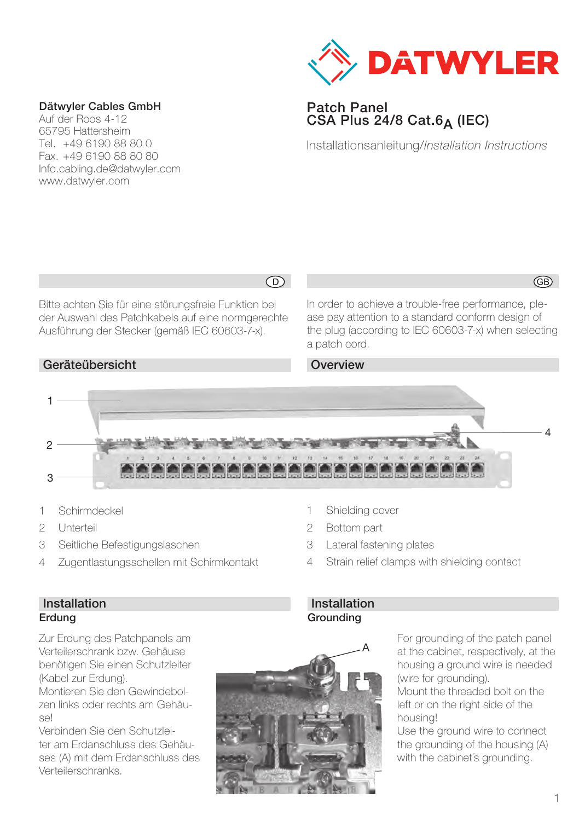

## Patch Panel  $CSA$  Plus 24/8 Cat.6<sub>A</sub> (IEC)

Installationsanleitung/*Installation Instructions*

#### Dätwyler Cables GmbH

Auf der Roos 4-12 65795 Hattersheim Tel. +49 6190 88 80 0 Fax. +49 6190 88 80 80 Info.cabling.de@datwyler.com www.datwyler.com

Bitte achten Sie für eine störungsfreie Funktion bei der Auswahl des Patchkabels auf eine normgerechte Ausführung der Stecker (gemäß IEC 60603-7-x).

## Geräteübersicht

 $\odot$ 

In order to achieve a trouble-free performance, please pay attention to a standard conform design of the plug (according to IEC 60603-7-x) when selecting a patch cord.

## **Overview**



- 1 Schirmdeckel
- 2 Unterteil
- 3 Seitliche Befestigungslaschen
- 4 Zugentlastungsschellen mit Schirmkontakt
- 1 Shielding cover
- 2 Bottom part
- 3 Lateral fastening plates
- 4 Strain relief clamps with shielding contact

## Installation Erdung

Zur Erdung des Patchpanels am Verteilerschrank bzw. Gehäuse benötigen Sie einen Schutzleiter (Kabel zur Erdung).

Montieren Sie den Gewindebolzen links oder rechts am Gehäuse!

Verbinden Sie den Schutzleiter am Erdanschluss des Gehäuses (A) mit dem Erdanschluss des Verteilerschranks.

## Installation Grounding



For grounding of the patch panel at the cabinet, respectively, at the housing a ground wire is needed (wire for aroundina).

Mount the threaded bolt on the left or on the right side of the housing!

Use the ground wire to connect the grounding of the housing (A) with the cabinet's grounding.

GB)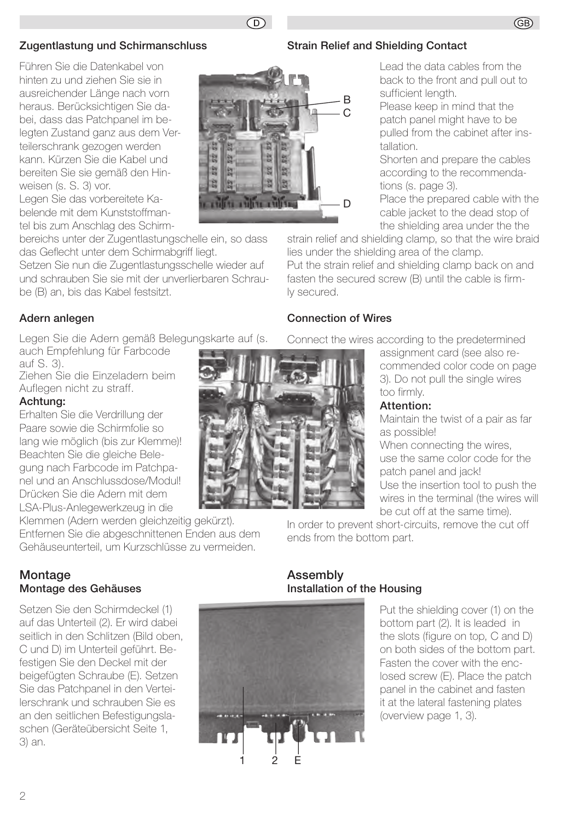## Zugentlastung und Schirmanschluss

Führen Sie die Datenkabel von hinten zu und ziehen Sie sie in ausreichender Länge nach vorn heraus. Berücksichtigen Sie dabei, dass das Patchpanel im belegten Zustand ganz aus dem Verteilerschrank gezogen werden kann. Kürzen Sie die Kabel und bereiten Sie sie gemäß den Hinweisen (s. S. 3) vor.

Legen Sie das vorbereitete Kabelende mit dem Kunststoffmantel bis zum Anschlag des Schirm-

bereichs unter der Zugentlastungschelle ein, so dass das Geflecht unter dem Schirmabgriff liegt.

Setzen Sie nun die Zugentlastungsschelle wieder auf und schrauben Sie sie mit der unverlierbaren Schraube (B) an, bis das Kabel festsitzt.

## Adern anlegen

Legen Sie die Adern gemäß Belegungskarte auf (s. auch Empfehlung für Farbcode

auf S. 3).

Ziehen Sie die Einzeladern beim Auflegen nicht zu straff.

## Achtung:

Erhalten Sie die Verdrillung der Paare sowie die Schirmfolie so lang wie möglich (bis zur Klemme)! Beachten Sie die gleiche Belegung nach Farbcode im Patchpanel und an Anschlussdose/Modul! Drücken Sie die Adern mit dem LSA-Plus-Anlegewerkzeug in die

Klemmen (Adern werden gleichzeitig gekürzt). Entfernen Sie die abgeschnittenen Enden aus dem Gehäuseunterteil, um Kurzschlüsse zu vermeiden.

## Connection of Wires

Connect the wires according to the predetermined

strain relief and shielding clamp, so that the wire braid

Put the strain relief and shielding clamp back on and fasten the secured screw (B) until the cable is firm-

lies under the shielding area of the clamp.



Lead the data cables from the back to the front and pull out to

Place the prepared cable with the cable jacket to the dead stop of the shielding area under the the

sufficient lenath.

## Attention:

Maintain the twist of a pair as far as possible!

When connecting the wires. use the same color code for the patch panel and jack! Use the insertion tool to push the wires in the terminal (the wires will be cut off at the same time).

In order to prevent short-circuits, remove the cut off ends from the bottom part.

## Montage Montage des Gehäuses

Setzen Sie den Schirmdeckel (1) auf das Unterteil (2). Er wird dabei seitlich in den Schlitzen (Bild oben, C und D) im Unterteil geführt. Befestigen Sie den Deckel mit der beigefügten Schraube (E). Setzen Sie das Patchpanel in den Verteilerschrank und schrauben Sie es an den seitlichen Befestigungslaschen (Geräteübersicht Seite 1, 3) an.

# Assembly Installation of the Housing

E

1 2

Put the shielding cover (1) on the bottom part (2). It is leaded in the slots (figure on top, C and D) on both sides of the bottom part. Fasten the cover with the enclosed screw (E). Place the patch panel in the cabinet and fasten it at the lateral fastening plates (overview page 1, 3).





 $\circledcirc$ 

**Community of the Community** 

寂 自

a

ly secured.

Strain Relief and Shielding Contact

B

D

## GB)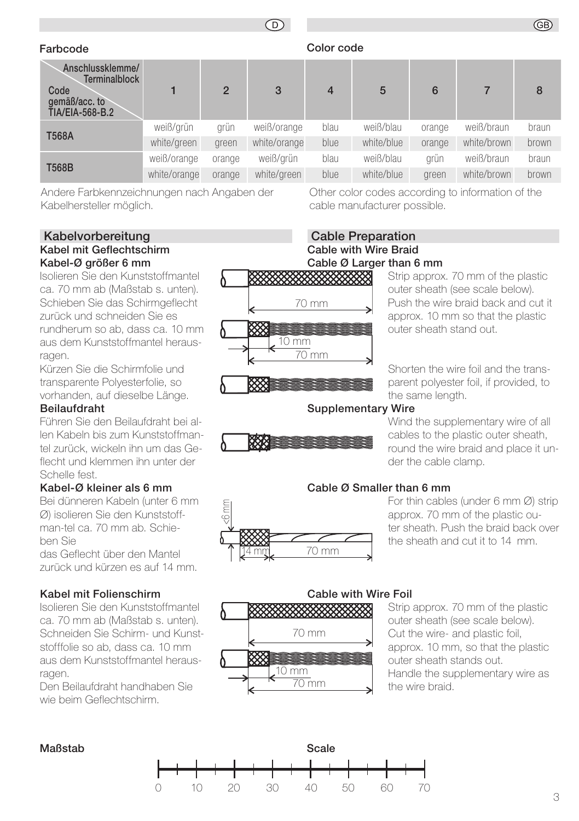# $\bigcap$

## Farbcode Color code

| Anschlussklemme/<br><b>Terminalblock</b><br>Code<br>gemäß/acc. to<br>TIA/EIA-568-B.2 |              | $\overline{2}$ | 3            | $\overline{4}$ | 5          | 6      |             | 8     |
|--------------------------------------------------------------------------------------|--------------|----------------|--------------|----------------|------------|--------|-------------|-------|
| <b>T568A</b>                                                                         | weiß/grün    | grün           | weiß/orange  | blau           | weiß/blau  | orange | weiß/braun  | braun |
|                                                                                      | white/green  | green          | white/orange | blue           | white/blue | orange | white/brown | brown |
| <b>T568B</b>                                                                         | weiß/orange  | orange         | weiß/grün    | blau           | weiß/blau  | arün   | weiß/braun  | braun |
|                                                                                      | white/orange | orange         | white/green  | blue           | white/blue | areen  | white/brown | brown |

Andere Farbkennzeichnungen nach Angaben der Kabelhersteller möglich.

#### Kabelvorbereitung Kabel mit Geflechtschirm Kabel-Ø größer 6 mm

Isolieren Sie den Kunststoffmantel ca. 70 mm ab (Maßstab s. unten). Schieben Sie das Schirmgeflecht zurück und schneiden Sie es rundherum so ab, dass ca. 10 mm aus dem Kunststoffmantel herausragen.

Kürzen Sie die Schirmfolie und transparente Polyesterfolie, so vorhanden, auf dieselbe Länge.

#### Beilaufdraht

Führen Sie den Beilaufdraht bei allen Kabeln bis zum Kunststoffmantel zurück, wickeln ihn um das Geflecht und klemmen ihn unter der Schelle fest.

#### Kabel-Ø kleiner als 6 mm

Bei dünneren Kabeln (unter 6 mm Ø) isolieren Sie den Kunststoffman-tel ca. 70 mm ab. Schieben Sie

das Geflecht über den Mantel zurück und kürzen es auf 14 mm.

## Kabel mit Folienschirm

Isolieren Sie den Kunststoffmantel ca. 70 mm ab (Maßstab s. unten). Schneiden Sie Schirm- und Kunststofffolie so ab, dass ca. 10 mm aus dem Kunststoffmantel herausragen.

Den Beilaufdraht handhaben Sie wie beim Geflechtschirm.

# cable manufacturer possible.

Other color codes according to information of the

## Cable Preparation Cable with Wire Braid Cable Ø Larger than 6 mm



Strip approx. 70 mm of the plastic outer sheath (see scale below). Push the wire braid back and cut it approx. 10 mm so that the plastic outer sheath stand out.

GB)

Shorten the wire foil and the transparent polyester foil, if provided, to the same length.

#### Supplementary Wire



Wind the supplementary wire of all cables to the plastic outer sheath, round the wire braid and place it under the cable clamp.



## Cable Ø Smaller than 6 mm

For thin cables (under 6 mm Ø) strip approx. 70 mm of the plastic outer sheath. Push the braid back over the sheath and cut it to 14 mm.



#### Strip approx. 70 mm of the plastic outer sheath (see scale below). Cut the wire- and plastic foil, approx. 10 mm, so that the plastic outer sheath stands out. Handle the supplementary wire as the wire braid.